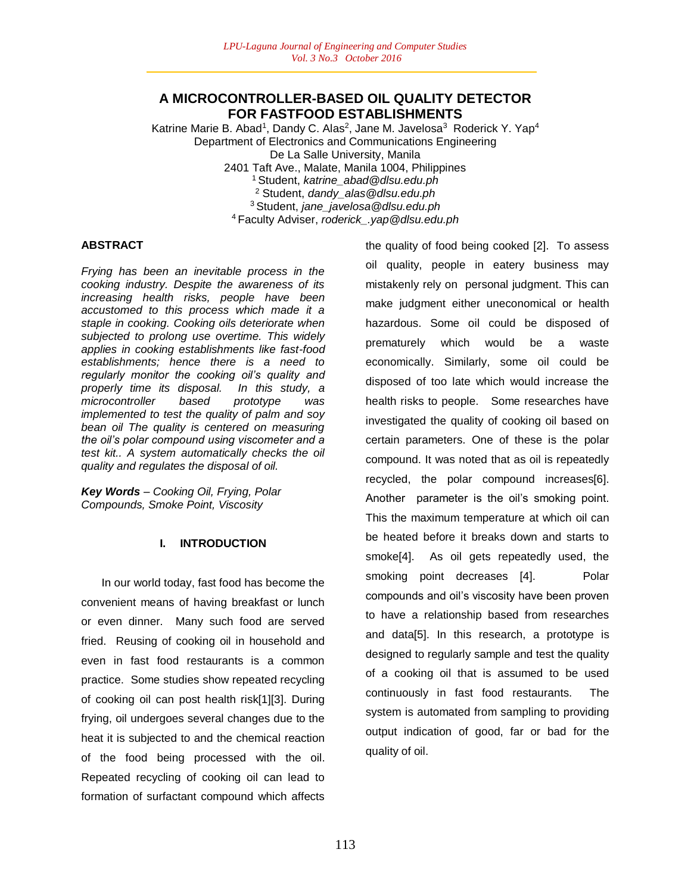## **A MICROCONTROLLER-BASED OIL QUALITY DETECTOR FOR FASTFOOD ESTABLISHMENTS**

Katrine Marie B. Abad<sup>1</sup>, Dandy C. Alas<sup>2</sup>, Jane M. Javelosa<sup>3</sup> Roderick Y. Yap<sup>4</sup> Department of Electronics and Communications Engineering De La Salle University, Manila 2401 Taft Ave., Malate, Manila 1004, Philippines <sup>1</sup>Student, *katrine\_abad@dlsu.edu.ph* <sup>2</sup> Student, *dandy\_alas@dlsu.edu.ph* <sup>3</sup>Student, *jane\_javelosa@dlsu.edu.ph* <sup>4</sup>Faculty Adviser, *roderick\_.yap@dlsu.edu.ph*

### **ABSTRACT**

*Frying has been an inevitable process in the cooking industry. Despite the awareness of its increasing health risks, people have been accustomed to this process which made it a staple in cooking. Cooking oils deteriorate when subjected to prolong use overtime. This widely applies in cooking establishments like fast-food establishments; hence there is a need to regularly monitor the cooking oil's quality and properly time its disposal. In this study, a microcontroller based prototype was implemented to test the quality of palm and soy bean oil The quality is centered on measuring the oil's polar compound using viscometer and a test kit.. A system automatically checks the oil quality and regulates the disposal of oil.* 

*Key Words – Cooking Oil, Frying, Polar Compounds, Smoke Point, Viscosity* 

## **I. INTRODUCTION**

In our world today, fast food has become the convenient means of having breakfast or lunch or even dinner. Many such food are served fried. Reusing of cooking oil in household and even in fast food restaurants is a common practice. Some studies show repeated recycling of cooking oil can post health risk[1][3]. During frying, oil undergoes several changes due to the heat it is subjected to and the chemical reaction of the food being processed with the oil. Repeated recycling of cooking oil can lead to formation of surfactant compound which affects

the quality of food being cooked [2]. To assess oil quality, people in eatery business may mistakenly rely on personal judgment. This can make judgment either uneconomical or health hazardous. Some oil could be disposed of prematurely which would be a waste economically. Similarly, some oil could be disposed of too late which would increase the health risks to people. Some researches have investigated the quality of cooking oil based on certain parameters. One of these is the polar compound. It was noted that as oil is repeatedly recycled, the polar compound increases[6]. Another parameter is the oil's smoking point. This the maximum temperature at which oil can be heated before it breaks down and starts to smoke[4]. As oil gets repeatedly used, the smoking point decreases [4]. Polar compounds and oil's viscosity have been proven to have a relationship based from researches and data[5]. In this research, a prototype is designed to regularly sample and test the quality of a cooking oil that is assumed to be used continuously in fast food restaurants. The system is automated from sampling to providing output indication of good, far or bad for the quality of oil.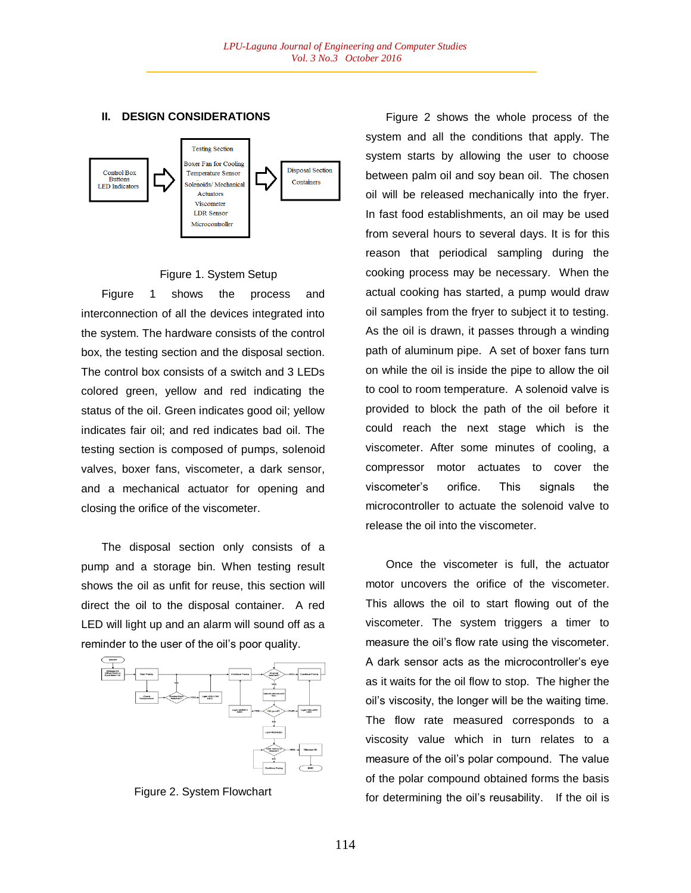### **II. DESIGN CONSIDERATIONS**



# Figure 1. System Setup

Figure 1 shows the process and interconnection of all the devices integrated into the system. The hardware consists of the control box, the testing section and the disposal section. The control box consists of a switch and 3 LEDs colored green, yellow and red indicating the status of the oil. Green indicates good oil; yellow indicates fair oil; and red indicates bad oil. The testing section is composed of pumps, solenoid valves, boxer fans, viscometer, a dark sensor, and a mechanical actuator for opening and closing the orifice of the viscometer.

The disposal section only consists of a pump and a storage bin. When testing result shows the oil as unfit for reuse, this section will direct the oil to the disposal container. A red LED will light up and an alarm will sound off as a reminder to the user of the oil's poor quality.



Figure 2. System Flowchart

Figure 2 shows the whole process of the system and all the conditions that apply. The system starts by allowing the user to choose between palm oil and soy bean oil. The chosen oil will be released mechanically into the fryer. In fast food establishments, an oil may be used from several hours to several days. It is for this reason that periodical sampling during the cooking process may be necessary. When the actual cooking has started, a pump would draw oil samples from the fryer to subject it to testing. As the oil is drawn, it passes through a winding path of aluminum pipe. A set of boxer fans turn on while the oil is inside the pipe to allow the oil to cool to room temperature. A solenoid valve is provided to block the path of the oil before it could reach the next stage which is the viscometer. After some minutes of cooling, a compressor motor actuates to cover the viscometer's orifice. This signals the microcontroller to actuate the solenoid valve to release the oil into the viscometer.

Once the viscometer is full, the actuator motor uncovers the orifice of the viscometer. This allows the oil to start flowing out of the viscometer. The system triggers a timer to measure the oil's flow rate using the viscometer. A dark sensor acts as the microcontroller's eye as it waits for the oil flow to stop. The higher the oil's viscosity, the longer will be the waiting time. The flow rate measured corresponds to a viscosity value which in turn relates to a measure of the oil's polar compound. The value of the polar compound obtained forms the basis for determining the oil's reusability. If the oil is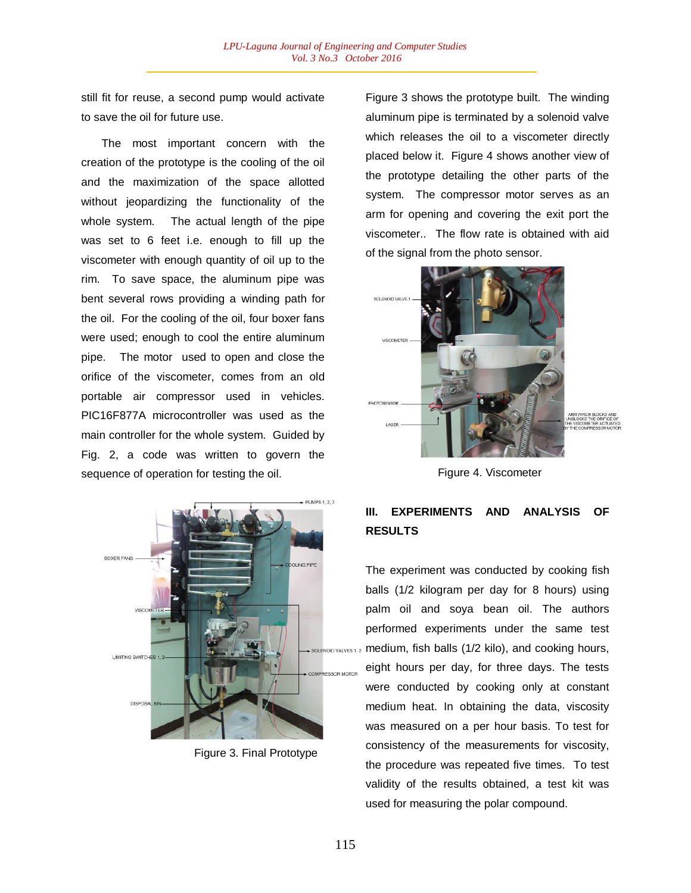still fit for reuse, a second pump would activate to save the oil for future use.

The most important concern with the creation of the prototype is the cooling of the oil and the maximization of the space allotted without jeopardizing the functionality of the whole system. The actual length of the pipe was set to 6 feet i.e. enough to fill up the viscometer with enough quantity of oil up to the rim. To save space, the aluminum pipe was bent several rows providing a winding path for the oil. For the cooling of the oil, four boxer fans were used; enough to cool the entire aluminum pipe. The motor used to open and close the orifice of the viscometer, comes from an old portable air compressor used in vehicles. PIC16F877A microcontroller was used as the main controller for the whole system. Guided by Fig. 2, a code was written to govern the sequence of operation for testing the oil.



Figure 3. Final Prototype

Figure 3 shows the prototype built. The winding aluminum pipe is terminated by a solenoid valve which releases the oil to a viscometer directly placed below it. Figure 4 shows another view of the prototype detailing the other parts of the system. The compressor motor serves as an arm for opening and covering the exit port the viscometer.. The flow rate is obtained with aid of the signal from the photo sensor.



Figure 4. Viscometer

# **III. EXPERIMENTS AND ANALYSIS OF RESULTS**

The experiment was conducted by cooking fish balls (1/2 kilogram per day for 8 hours) using palm oil and soya bean oil. The authors performed experiments under the same test medium, fish balls (1/2 kilo), and cooking hours, eight hours per day, for three days. The tests were conducted by cooking only at constant medium heat. In obtaining the data, viscosity was measured on a per hour basis. To test for consistency of the measurements for viscosity, the procedure was repeated five times. To test validity of the results obtained, a test kit was used for measuring the polar compound.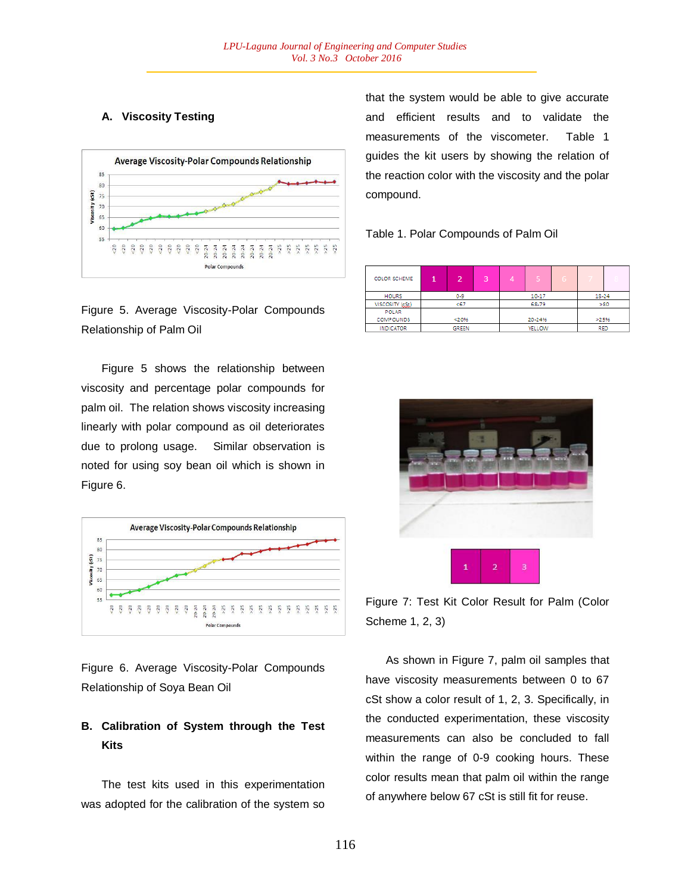### **A. Viscosity Testing**





Figure 5 shows the relationship between viscosity and percentage polar compounds for palm oil. The relation shows viscosity increasing linearly with polar compound as oil deteriorates due to prolong usage. Similar observation is noted for using soy bean oil which is shown in Figure 6.



Figure 6. Average Viscosity-Polar Compounds Relationship of Soya Bean Oil

# **B. Calibration of System through the Test Kits**

The test kits used in this experimentation was adopted for the calibration of the system so that the system would be able to give accurate and efficient results and to validate the measurements of the viscometer. Table 1 guides the kit users by showing the relation of the reaction color with the viscosity and the polar compound.

#### Table 1. Polar Compounds of Palm Oil

| <b>COLOR SCHEME</b> |              |         | 3      | Δ | 5          |     |       |  |
|---------------------|--------------|---------|--------|---|------------|-----|-------|--|
| <b>HOURS</b>        |              | $0 - 9$ |        |   | 10-17      |     | 18-24 |  |
| VISCOSITY (SSt)     | < 67         |         | 68-79  |   |            | >80 |       |  |
| POLAR               |              |         |        |   |            |     |       |  |
| <b>COMPOUNDS</b>    |              | < 20%   |        |   | 20-24%     |     | >25%  |  |
| <b>INDICATOR</b>    | <b>GREEN</b> |         | YELLOW |   | <b>RED</b> |     |       |  |



Figure 7: Test Kit Color Result for Palm (Color Scheme 1, 2, 3)

As shown in Figure 7, palm oil samples that have viscosity measurements between 0 to 67 cSt show a color result of 1, 2, 3. Specifically, in the conducted experimentation, these viscosity measurements can also be concluded to fall within the range of 0-9 cooking hours. These color results mean that palm oil within the range of anywhere below 67 cSt is still fit for reuse.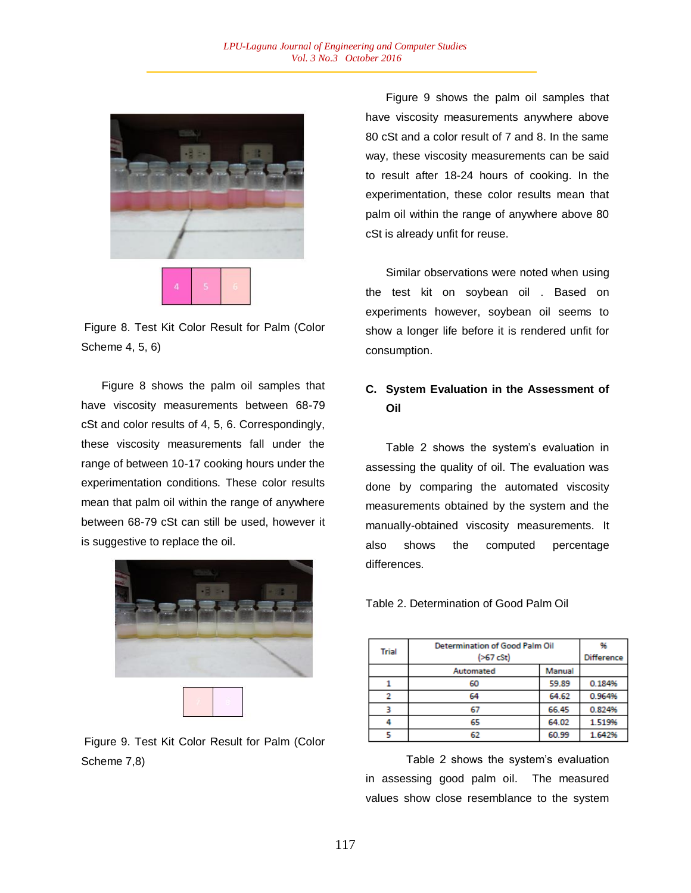

Figure 8. Test Kit Color Result for Palm (Color Scheme 4, 5, 6)

Figure 8 shows the palm oil samples that have viscosity measurements between 68-79 cSt and color results of 4, 5, 6. Correspondingly, these viscosity measurements fall under the range of between 10-17 cooking hours under the experimentation conditions. These color results mean that palm oil within the range of anywhere between 68-79 cSt can still be used, however it is suggestive to replace the oil.



Figure 9. Test Kit Color Result for Palm (Color Scheme 7,8)

Figure 9 shows the palm oil samples that have viscosity measurements anywhere above 80 cSt and a color result of 7 and 8. In the same way, these viscosity measurements can be said to result after 18-24 hours of cooking. In the experimentation, these color results mean that palm oil within the range of anywhere above 80 cSt is already unfit for reuse.

Similar observations were noted when using the test kit on soybean oil . Based on experiments however, soybean oil seems to show a longer life before it is rendered unfit for consumption.

## **C. System Evaluation in the Assessment of Oil**

Table 2 shows the system's evaluation in assessing the quality of oil. The evaluation was done by comparing the automated viscosity measurements obtained by the system and the manually-obtained viscosity measurements. It also shows the computed percentage differences.

Table 2. Determination of Good Palm Oil

| <b>Trial</b> | <b>Determination of Good Palm Oil</b><br>( >67 cSt) | 96<br><b>Difference</b> |        |
|--------------|-----------------------------------------------------|-------------------------|--------|
|              | Automated                                           | Manual                  |        |
|              | 60                                                  | 59.89                   | 0.184% |
| 2            | 64                                                  | 64.62                   | 0.964% |
|              | 67                                                  | 66.45                   | 0.824% |
| 4            | 65                                                  | 64.02                   | 1.519% |
|              | 62                                                  | 60.99                   | 1.642% |

Table 2 shows the system's evaluation in assessing good palm oil. The measured values show close resemblance to the system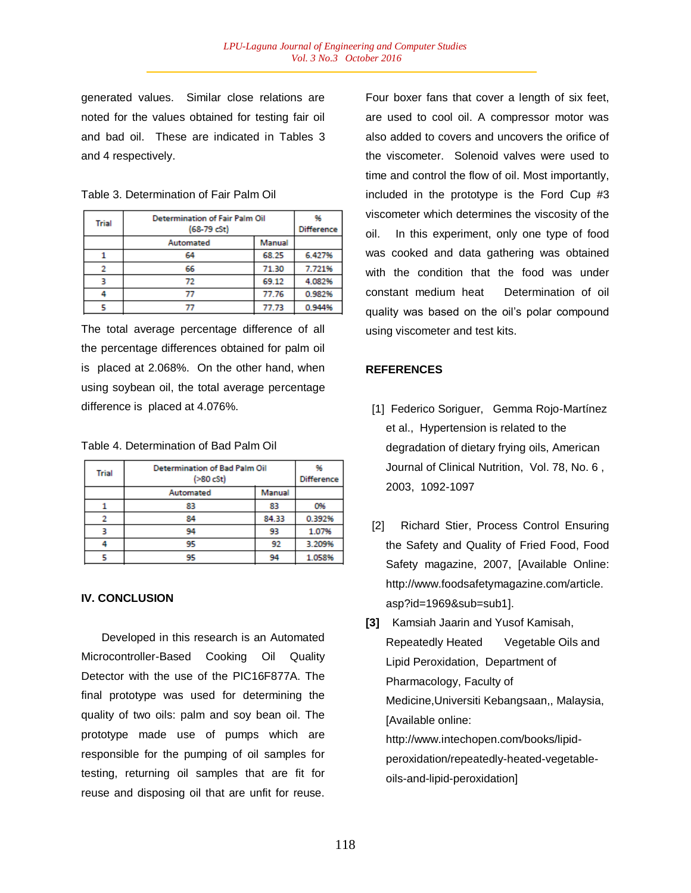generated values. Similar close relations are noted for the values obtained for testing fair oil and bad oil. These are indicated in Tables 3 and 4 respectively.

| Table 3. Determination of Fair Palm Oil |
|-----------------------------------------|
|-----------------------------------------|

|              | <b>Determination of Fair Palm Oil</b> | 96     |        |  |
|--------------|---------------------------------------|--------|--------|--|
| <b>Trial</b> | $(68-79 cSt)$                         |        |        |  |
|              | Automated                             | Manual |        |  |
|              | 64                                    | 68.25  | 6.427% |  |
| 2            | 66                                    | 71.30  | 7.721% |  |
|              | 72                                    | 69.12  | 4.082% |  |
| Δ            |                                       | 77.76  | 0.982% |  |
|              |                                       | 77.73  | 0.944% |  |

The total average percentage difference of all the percentage differences obtained for palm oil isplaced at 2.068%. On the other hand, when using soybean oil, the total average percentage difference is placed at 4.076%.

Table 4. Determination of Bad Palm Oil

| <b>Trial</b> | <b>Determination of Bad Palm Oil</b><br>( >80 cSt) | 96<br><b>Difference</b> |        |
|--------------|----------------------------------------------------|-------------------------|--------|
|              | Automated                                          | Manual                  |        |
|              | 83                                                 | 83                      | 0%     |
|              | 84                                                 | 84.33                   | 0.392% |
|              | 94                                                 | 93                      | 1.07%  |
| 4            | 95                                                 | 92                      | 3.209% |
|              | 95                                                 | 94                      | 1.058% |

#### **IV. CONCLUSION**

Developed in this research is an Automated Microcontroller-Based Cooking Oil Quality Detector with the use of the PIC16F877A. The final prototype was used for determining the quality of two oils: palm and soy bean oil. The prototype made use of pumps which are responsible for the pumping of oil samples for testing, returning oil samples that are fit for reuse and disposing oil that are unfit for reuse.

Four boxer fans that cover a length of six feet, are used to cool oil. A compressor motor was also added to covers and uncovers the orifice of the viscometer. Solenoid valves were used to time and control the flow of oil. Most importantly, included in the prototype is the Ford Cup #3 viscometer which determines the viscosity of the oil. In this experiment, only one type of food was cooked and data gathering was obtained with the condition that the food was under constant medium heat Determination of oil quality was based on the oil's polar compound using viscometer and test kits.

#### **REFERENCES**

- [1] Federico Soriguer, Gemma Rojo-Martínez et al., Hypertension is related to the degradation of dietary frying oils, American Journal of Clinical Nutrition, Vol. 78, No. 6 , 2003, 1092-1097
- [2] Richard Stier, Process Control Ensuring the Safety and Quality of Fried Food, Food Safety magazine, 2007, [Available Online: http://www.foodsafetymagazine.com/article. asp?id=1969&sub=sub1].
- **[3]** Kamsiah Jaarin and Yusof Kamisah, Repeatedly Heated Vegetable Oils and Lipid Peroxidation, Department of Pharmacology, Faculty of Medicine,Universiti Kebangsaan,, Malaysia, [Available online: http://www.intechopen.com/books/lipidperoxidation/repeatedly-heated-vegetableoils-and-lipid-peroxidation]